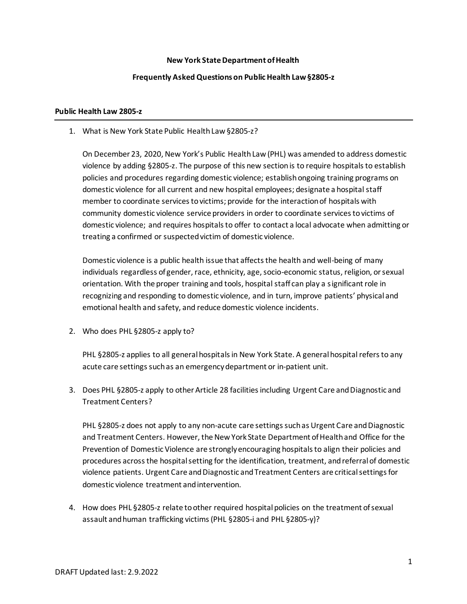# **New York State Department of Health**

### **Frequently Asked Questionson Public Health Law §2805-z**

#### **Public Health Law 2805-z**

1. What is New York State Public Health Law §2805-z?

On December 23, 2020, New York's Public Health Law (PHL) was amended to address domestic violence by adding §2805-z. The purpose of this new section is to require hospitals to establish policies and procedures regarding domestic violence; establish ongoing training programs on domestic violence for all current and new hospital employees; designate a hospital staff member to coordinate services to victims; provide for the interaction of hospitals with community domestic violence service providers in order to coordinate services to victims of domestic violence; and requires hospitals to offer to contact a local advocate when admitting or treating a confirmed or suspected victim of domestic violence.

Domestic violence is a public health issue that affects the health and well-being of many individuals regardless of gender, race, ethnicity, age, socio-economic status, religion, or sexual orientation. With the proper training and tools, hospital staff can play a significant role in recognizing and responding to domestic violence, and in turn, improve patients' physical and emotional health and safety, and reduce domestic violence incidents.

2. Who does PHL §2805-z apply to?

PHL §2805-z applies to all general hospitals in New York State. A general hospital refers to any acute care settings such as an emergency department or in-patient unit.

3. Does PHL §2805-z apply to other Article 28 facilities including Urgent Care and Diagnostic and Treatment Centers?

PHL §2805-z does not apply to any non-acute care settings such as Urgent Care and Diagnostic and Treatment Centers. However, the New York State Department of Health and Office for the Prevention of Domestic Violence are strongly encouraging hospitals to align their policies and procedures across the hospital setting for the identification, treatment, and referral of domestic violence patients. Urgent Care and Diagnostic and Treatment Centers are critical settings for domestic violence treatment and intervention.

4. How does PHL §2805-z relate toother required hospital policies on the treatment of sexual assault and human trafficking victims(PHL §2805-i and PHL §2805-y)?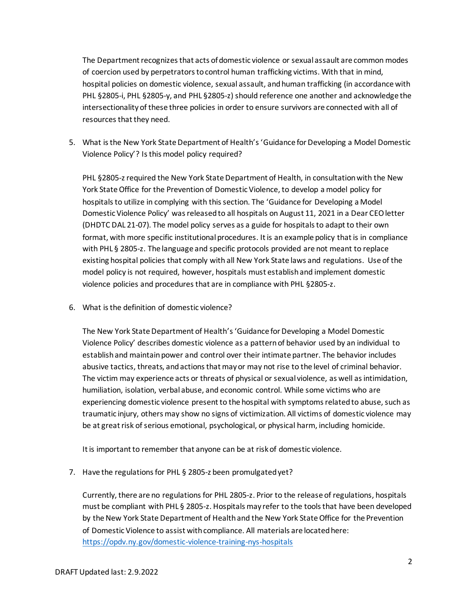The Department recognizes that acts of domestic violence or sexual assault are common modes of coercion used by perpetrators to control human trafficking victims. With that in mind, hospital policies on domestic violence, sexual assault, and human trafficking (in accordance with PHL §2805-i, PHL §2805-y, and PHL §2805-z) should reference one another and acknowledge the intersectionality of these three policies in order to ensure survivors are connected with all of resources that they need.

5. What is the New York State Department of Health's 'Guidance for Developing a Model Domestic Violence Policy'? Is this model policy required?

PHL §2805-z required the New York State Department of Health, in consultation with the New York State Office for the Prevention of Domestic Violence, to develop a model policy for hospitals to utilize in complying with this section. The 'Guidance for Developing a Model Domestic Violence Policy' was released to all hospitals on August 11, 2021 in a Dear CEO letter (DHDTC DAL 21-07). The model policy serves as a guide for hospitals to adapt to their own format, with more specific institutional procedures. It is an example policy that is in compliance with PHL § 2805-z. The language and specific protocols provided are not meant to replace existing hospital policies that comply with all New York State laws and regulations. Use of the model policy is not required, however, hospitals must establish and implement domestic violence policies and procedures that are in compliance with PHL §2805-z.

6. What is the definition of domestic violence?

The New York State Department of Health's'Guidance for Developing a Model Domestic Violence Policy' describes domestic violence as a pattern of behavior used by an individual to establish and maintain power and control over their intimate partner. The behavior includes abusive tactics, threats, and actions that may or may not rise to the level of criminal behavior. The victim may experience acts or threats of physical or sexual violence, as well as intimidation, humiliation, isolation, verbal abuse, and economic control. While some victims who are experiencing domestic violence present to the hospital with symptoms related to abuse, such as traumatic injury, others may show no signs of victimization. All victims of domestic violence may be at great risk of serious emotional, psychological, or physical harm, including homicide.

It is important to remember that anyone can be at risk of domestic violence.

7. Have the regulations for PHL § 2805-z been promulgated yet?

Currently, there are no regulations for PHL 2805-z. Prior to the release of regulations, hospitals must be compliant with PHL § 2805-z. Hospitals may refer to the tools that have been developed by the New York State Department of Healthand the New York State Office for the Prevention of Domestic Violence to assist with compliance. All materials are located here: <https://opdv.ny.gov/domestic-violence-training-nys-hospitals>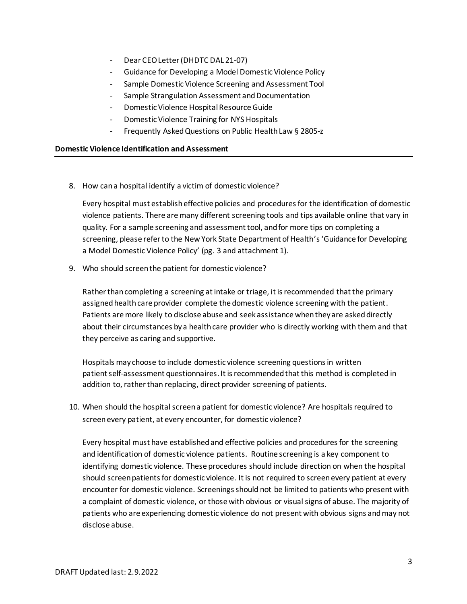- Dear CEO Letter (DHDTC DAL 21-07)
- Guidance for Developing a Model Domestic Violence Policy
- Sample Domestic Violence Screening and Assessment Tool
- Sample Strangulation Assessment and Documentation
- Domestic Violence Hospital Resource Guide
- Domestic Violence Training for NYS Hospitals
- Frequently Asked Questions on Public Health Law § 2805-z

### **Domestic Violence Identification and Assessment**

8. How can a hospital identify a victim of domestic violence?

Every hospital must establish effective policies and procedures for the identification of domestic violence patients. There are many different screening tools and tips available online that vary in quality. For a sample screening and assessment tool, and for more tips on completing a screening, please refer to the New York State Department of Health's 'Guidance for Developing a Model Domestic Violence Policy' (pg. 3 and attachment 1).

9. Who should screen the patient for domestic violence?

Rather than completing a screening at intake or triage, it is recommended that the primary assigned health care provider complete the domestic violence screening with the patient. Patients are more likely to disclose abuse and seek assistance when they are asked directly about their circumstances by a health care provider who is directly working with them and that they perceive as caring and supportive.

Hospitals may choose to include domestic violence screening questions in written patient self-assessment questionnaires. It is recommended that this method is completed in addition to, rather than replacing, direct provider screening of patients.

10. When should the hospital screen a patient for domestic violence? Are hospitals required to screen every patient, at every encounter, for domestic violence?

Every hospital must have established and effective policies and procedures for the screening and identification of domestic violence patients. Routine screening is a key component to identifying domestic violence. These procedures should include direction on when the hospital should screen patients for domestic violence. It is not required to screen every patient at every encounter for domestic violence. Screenings should not be limited to patients who present with a complaint of domestic violence, or those with obvious or visual signs of abuse. The majority of patients who are experiencing domestic violence do not present with obvious signs and may not disclose abuse.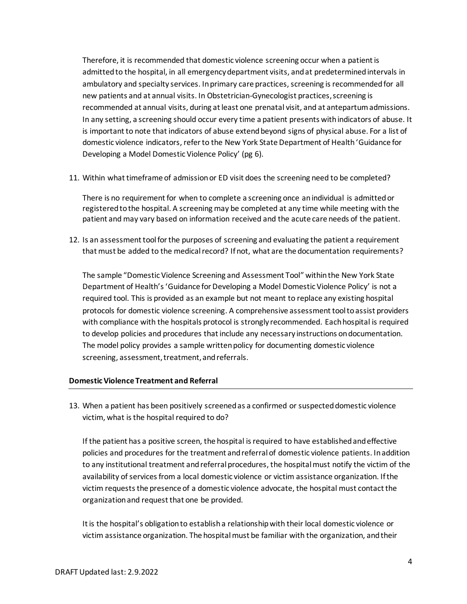Therefore, it is recommended that domestic violence screening occur when a patient is admitted to the hospital, in all emergency department visits, and at predetermined intervals in ambulatory and specialty services. In primary care practices, screening is recommended for all new patients and at annual visits. In Obstetrician-Gynecologist practices, screening is recommended at annual visits, during at least one prenatal visit, and at antepartum admissions. In any setting, a screening should occur every time a patient presents with indicators of abuse. It is important to note that indicators of abuse extend beyond signs of physical abuse. For a list of domestic violence indicators, refer to the New York State Department of Health 'Guidance for Developing a Model Domestic Violence Policy' (pg 6).

11. Within what timeframe of admission or ED visit does the screening need to be completed?

There is no requirement for when to complete a screening once an individual is admitted or registered to the hospital. A screening may be completed at any time while meeting with the patient and may vary based on information received and the acute care needs of the patient.

12. Is an assessment tool for the purposes of screening and evaluating the patient a requirement that must be added to the medical record? If not, what are the documentation requirements?

The sample "Domestic Violence Screening and Assessment Tool" within the New York State Department of Health's 'Guidance for Developing a Model Domestic Violence Policy' is not a required tool. This is provided as an example but not meant to replace any existing hospital protocols for domestic violence screening. A comprehensive assessment tool to assist providers with compliance with the hospitals protocol is strongly recommended. Each hospital is required to develop policies and procedures that include any necessary instructions on documentation. The model policy provides a sample written policy for documenting domestic violence screening, assessment, treatment, and referrals.

# **Domestic Violence Treatment and Referral**

13. When a patient has been positively screened as a confirmed or suspected domestic violence victim, what is the hospital required to do?

If the patient has a positive screen, the hospital is required to have established and effective policies and procedures for the treatment and referral of domestic violence patients. In addition to any institutional treatment and referral procedures, the hospital must notify the victim of the availability of services from a local domestic violence or victim assistance organization. If the victim requests the presence of a domestic violence advocate, the hospital must contact the organization and request that one be provided.

It is the hospital's obligation to establish a relationship with their local domestic violence or victim assistance organization. The hospital must be familiar with the organization, and their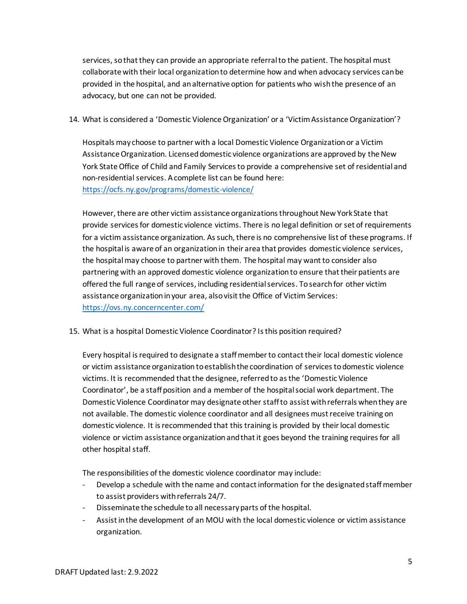services, so that they can provide an appropriate referral to the patient. The hospital must collaborate with their local organization to determine how and when advocacy services can be provided in the hospital, and an alternative option for patients who wish the presence of an advocacy, but one can not be provided.

14. What is considered a 'Domestic Violence Organization' or a 'Victim Assistance Organization'?

Hospitals may choose to partner with a local Domestic Violence Organization or a Victim Assistance Organization. Licensed domestic violence organizations are approved by the New York State Office of Child and Family Services to provide a comprehensive set of residential and non-residential services. A complete list can be found here: <https://ocfs.ny.gov/programs/domestic-violence/>

However, there are other victim assistance organizations throughout New York State that provide services for domestic violence victims. There is no legal definition or set of requirements for a victim assistance organization. As such, there is no comprehensive list of these programs. If the hospital is aware of an organization in their area that provides domestic violence services, the hospital may choose to partner with them. The hospital may want to consider also partnering with an approved domestic violence organization to ensure that their patients are offered the full range of services, including residential services. To search for other victim assistance organization in your area, also visit the Office of Victim Services: <https://ovs.ny.concerncenter.com/>

15. What is a hospital Domestic Violence Coordinator? Is this position required?

Every hospital is required to designate a staff member to contact their local domestic violence or victim assistance organization to establish the coordination of services to domestic violence victims. It is recommended that the designee, referred to as the 'Domestic Violence Coordinator', be a staff position and a member of the hospital social work department. The Domestic Violence Coordinator may designate other staff to assist with referrals when they are not available. The domestic violence coordinator and all designees must receive training on domestic violence. It is recommended that this training is provided by theirlocal domestic violence or victim assistance organization and that it goes beyond the training requires for all other hospital staff.

The responsibilities of the domestic violence coordinator may include:

- Develop a schedule with the name and contact information for the designated staff member to assist providers with referrals 24/7.
- Disseminate the schedule to all necessary parts of the hospital.
- Assist in the development of an MOU with the local domestic violence or victim assistance organization.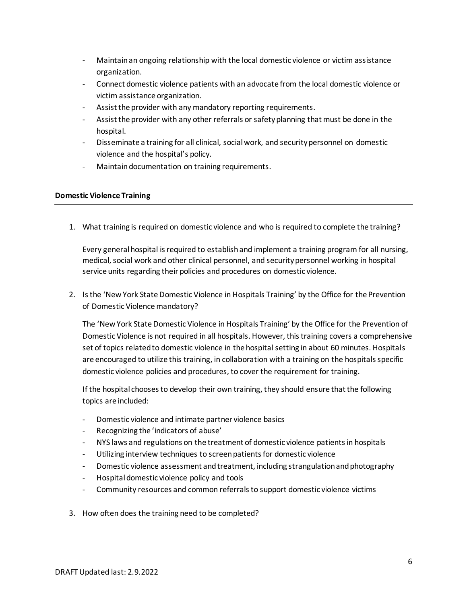- Maintain an ongoing relationship with the local domestic violence or victim assistance organization.
- Connect domestic violence patients with an advocate from the local domestic violence or victim assistance organization.
- Assist the provider with any mandatory reporting requirements.
- Assist the provider with any other referrals or safety planning that must be done in the hospital.
- Disseminate a training for all clinical, social work, and security personnel on domestic violence and the hospital's policy.
- Maintain documentation on training requirements.

# **Domestic Violence Training**

1. What training is required on domestic violence and who is required to complete the training?

Every general hospital is required to establish and implement a training program for all nursing, medical, social work and other clinical personnel, and security personnel working in hospital service units regarding their policies and procedures on domestic violence.

2. Is the 'New York State Domestic Violence in Hospitals Training' by the Office for the Prevention of Domestic Violence mandatory?

The 'New York State Domestic Violence in Hospitals Training' by the Office for the Prevention of Domestic Violence is not required in all hospitals. However, this training covers a comprehensive set of topics related to domestic violence in the hospital setting in about 60 minutes. Hospitals are encouraged to utilize this training, in collaboration with a training on the hospitals specific domestic violence policies and procedures, to cover the requirement for training.

If the hospital chooses to develop their own training, they should ensure that the following topics are included:

- Domestic violence and intimate partner violence basics
- Recognizing the 'indicators of abuse'
- NYS laws and regulations on the treatment of domestic violence patients in hospitals
- Utilizing interview techniques to screen patients for domestic violence
- Domestic violence assessment and treatment, including strangulation and photography
- Hospital domestic violence policy and tools
- Community resources and common referrals to support domestic violence victims
- 3. How often does the training need to be completed?